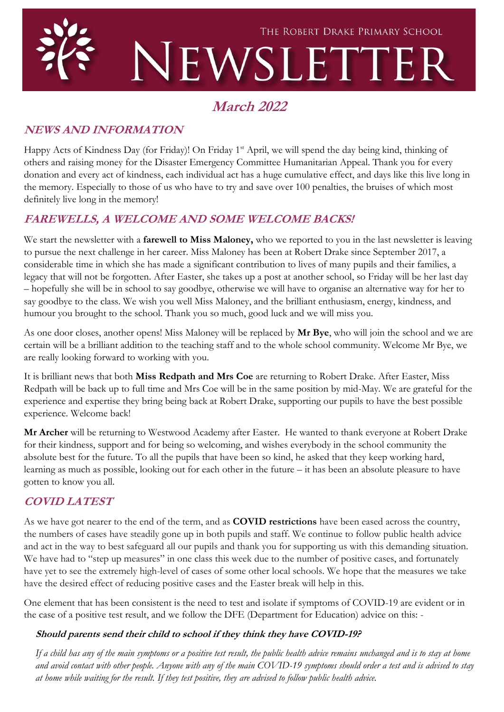

## **March 2022**

## **NEWS AND INFORMATION**

Happy Acts of Kindness Day (for Friday)! On Friday 1<sup>st</sup> April, we will spend the day being kind, thinking of others and raising money for the Disaster Emergency Committee Humanitarian Appeal. Thank you for every donation and every act of kindness, each individual act has a huge cumulative effect, and days like this live long in the memory. Especially to those of us who have to try and save over 100 penalties, the bruises of which most definitely live long in the memory!

## **FAREWELLS, A WELCOME AND SOME WELCOME BACKS!**

We start the newsletter with a **farewell to Miss Maloney,** who we reported to you in the last newsletter is leaving to pursue the next challenge in her career. Miss Maloney has been at Robert Drake since September 2017, a considerable time in which she has made a significant contribution to lives of many pupils and their families, a legacy that will not be forgotten. After Easter, she takes up a post at another school, so Friday will be her last day – hopefully she will be in school to say goodbye, otherwise we will have to organise an alternative way for her to say goodbye to the class. We wish you well Miss Maloney, and the brilliant enthusiasm, energy, kindness, and humour you brought to the school. Thank you so much, good luck and we will miss you.

As one door closes, another opens! Miss Maloney will be replaced by **Mr Bye**, who will join the school and we are certain will be a brilliant addition to the teaching staff and to the whole school community. Welcome Mr Bye, we are really looking forward to working with you.

It is brilliant news that both **Miss Redpath and Mrs Coe** are returning to Robert Drake. After Easter, Miss Redpath will be back up to full time and Mrs Coe will be in the same position by mid-May. We are grateful for the experience and expertise they bring being back at Robert Drake, supporting our pupils to have the best possible experience. Welcome back!

**Mr Archer** will be returning to Westwood Academy after Easter. He wanted to thank everyone at Robert Drake for their kindness, support and for being so welcoming, and wishes everybody in the school community the absolute best for the future. To all the pupils that have been so kind, he asked that they keep working hard, learning as much as possible, looking out for each other in the future – it has been an absolute pleasure to have gotten to know you all.

## **COVID LATEST**

As we have got nearer to the end of the term, and as **COVID restrictions** have been eased across the country, the numbers of cases have steadily gone up in both pupils and staff. We continue to follow public health advice and act in the way to best safeguard all our pupils and thank you for supporting us with this demanding situation. We have had to "step up measures" in one class this week due to the number of positive cases, and fortunately have yet to see the extremely high-level of cases of some other local schools. We hope that the measures we take have the desired effect of reducing positive cases and the Easter break will help in this.

One element that has been consistent is the need to test and isolate if symptoms of COVID-19 are evident or in the case of a positive test result, and we follow the DFE (Department for Education) advice on this: -

#### **Should parents send their child to school if they think they have COVID-19?**

*If a child has any of the main symptoms or a positive test result, the public health advice remains unchanged and is to stay at home and avoid contact with other people. Anyone with any of the main COVID-19 symptoms should order a test and is advised to stay at home while waiting for the result. If they test positive, they are advised to follow public health advice.*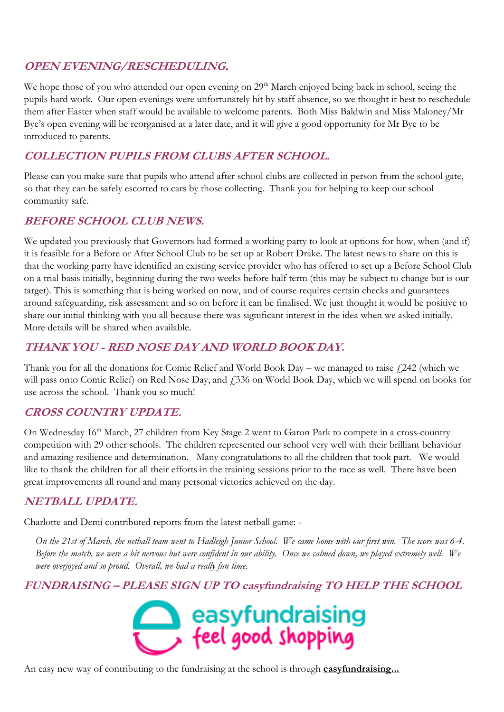## **OPEN EVENING/RESCHEDULING.**

We hope those of you who attended our open evening on 29<sup>th</sup> March enjoyed being back in school, seeing the pupils hard work. Our open evenings were unfortunately hit by staff absence, so we thought it best to reschedule them after Easter when staff would be available to welcome parents. Both Miss Baldwin and Miss Maloney/Mr Bye's open evening will be reorganised at a later date, and it will give a good opportunity for Mr Bye to be introduced to parents.

## **COLLECTION PUPILS FROM CLUBS AFTER SCHOOL.**

Please can you make sure that pupils who attend after school clubs are collected in person from the school gate, so that they can be safely escorted to cars by those collecting. Thank you for helping to keep our school community safe.

## **BEFORE SCHOOL CLUB NEWS.**

We updated you previously that Governors had formed a working party to look at options for how, when (and if) it is feasible for a Before or After School Club to be set up at Robert Drake. The latest news to share on this is that the working party have identified an existing service provider who has offered to set up a Before School Club on a trial basis initially, beginning during the two weeks before half term (this may be subject to change but is our target). This is something that is being worked on now, and of course requires certain checks and guarantees around safeguarding, risk assessment and so on before it can be finalised. We just thought it would be positive to share our initial thinking with you all because there was significant interest in the idea when we asked initially. More details will be shared when available.

## **THANK YOU - RED NOSE DAY AND WORLD BOOK DAY.**

Thank you for all the donations for Comic Relief and World Book Day – we managed to raise  $\ell$  242 (which we will pass onto Comic Relief) on Red Nose Day, and  $\ell$  336 on World Book Day, which we will spend on books for use across the school. Thank you so much!

## **CROSS COUNTRY UPDATE.**

On Wednesday 16<sup>th</sup> March, 27 children from Key Stage 2 went to Garon Park to compete in a cross-country competition with 29 other schools. The children represented our school very well with their brilliant behaviour and amazing resilience and determination. Many congratulations to all the children that took part. We would like to thank the children for all their efforts in the training sessions prior to the race as well. There have been great improvements all round and many personal victories achieved on the day.

## **NETBALL UPDATE.**

Charlotte and Demi contributed reports from the latest netball game: -

*On the 21st of March, the netball team went to Hadleigh Junior School. We came home with our first win. The score was 6-4. Before the match, we were a bit nervous but were confident in our ability. Once we calmed down, we played extremely well. We were overjoyed and so proud. Overall, we had a really fun time.*

**FUNDRAISING – PLEASE SIGN UP TO easyfundraising TO HELP THE SCHOOL**



An easy new way of contributing to the fundraising at the school is through **easyfundraising...**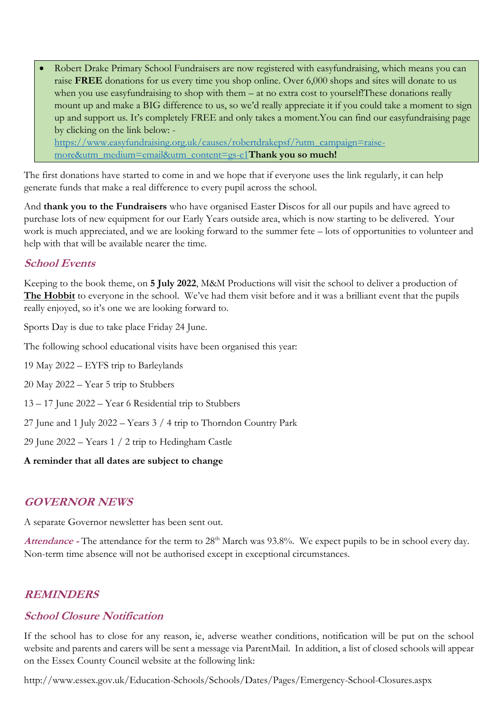• Robert Drake Primary School Fundraisers are now registered with easyfundraising, which means you can raise **FREE** donations for us every time you shop online. Over 6,000 shops and sites will donate to us when you use easyfundraising to shop with them – at no extra cost to yourself! These donations really mount up and make a BIG difference to us, so we'd really appreciate it if you could take a moment to sign up and support us. It's completely FREE and only takes a moment.You can find our easyfundraising page by clicking on the link below: [https://www.easyfundraising.org.uk/causes/robertdrakepsf/?utm\\_campaign=raise-](https://www.easyfundraising.org.uk/causes/robertdrakepsf/?utm_campaign=raise-more&utm_medium=email&utm_content=gs-e1)

[more&utm\\_medium=email&utm\\_content=gs-e1](https://www.easyfundraising.org.uk/causes/robertdrakepsf/?utm_campaign=raise-more&utm_medium=email&utm_content=gs-e1)**Thank you so much!**

The first donations have started to come in and we hope that if everyone uses the link regularly, it can help generate funds that make a real difference to every pupil across the school.

And **thank you to the Fundraisers** who have organised Easter Discos for all our pupils and have agreed to purchase lots of new equipment for our Early Years outside area, which is now starting to be delivered. Your work is much appreciated, and we are looking forward to the summer fete – lots of opportunities to volunteer and help with that will be available nearer the time.

#### **School Events**

Keeping to the book theme, on **5 July 2022**, M&M Productions will visit the school to deliver a production of **The Hobbit** to everyone in the school. We've had them visit before and it was a brilliant event that the pupils really enjoyed, so it's one we are looking forward to.

Sports Day is due to take place Friday 24 June.

The following school educational visits have been organised this year:

- 19 May 2022 EYFS trip to Barleylands
- 20 May 2022 Year 5 trip to Stubbers
- 13 17 June 2022 Year 6 Residential trip to Stubbers
- 27 June and 1 July 2022 Years 3 / 4 trip to Thorndon Country Park
- 29 June 2022 Years 1 / 2 trip to Hedingham Castle

#### **A reminder that all dates are subject to change**

#### **GOVERNOR NEWS**

A separate Governor newsletter has been sent out.

Attendance - The attendance for the term to 28<sup>th</sup> March was 93.8%. We expect pupils to be in school every day. Non-term time absence will not be authorised except in exceptional circumstances.

#### **REMINDERS**

#### **School Closure Notification**

If the school has to close for any reason, ie, adverse weather conditions, notification will be put on the school website and parents and carers will be sent a message via ParentMail. In addition, a list of closed schools will appear on the Essex County Council website at the following link:

http://www.essex.gov.uk/Education-Schools/Schools/Dates/Pages/Emergency-School-Closures.aspx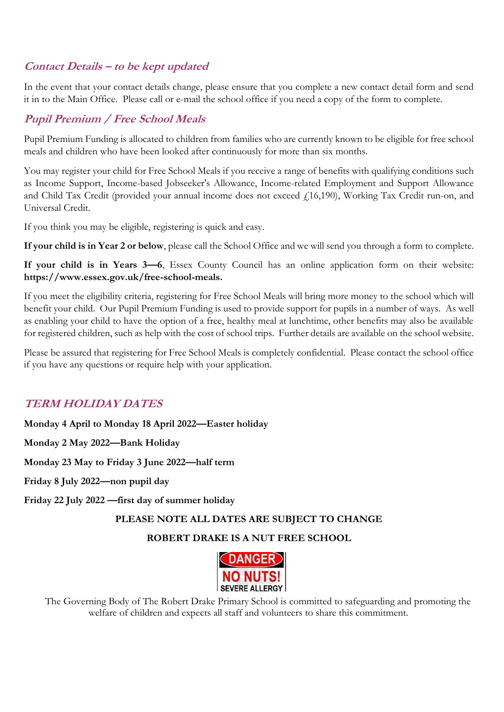## **Contact Details – to be kept updated**

In the event that your contact details change, please ensure that you complete a new contact detail form and send it in to the Main Office. Please call or e-mail the school office if you need a copy of the form to complete.

## **Pupil Premium / Free School Meals**

Pupil Premium Funding is allocated to children from families who are currently known to be eligible for free school meals and children who have been looked after continuously for more than six months.

You may register your child for Free School Meals if you receive a range of benefits with qualifying conditions such as Income Support, Income-based Jobseeker's Allowance, Income-related Employment and Support Allowance and Child Tax Credit (provided your annual income does not exceed  $f(16,190)$ , Working Tax Credit run-on, and Universal Credit.

If you think you may be eligible, registering is quick and easy.

**If your child is in Year 2 or below**, please call the School Office and we will send you through a form to complete.

**If your child is in Years 3—6**, Essex County Council has an online application form on their website: **https://www.essex.gov.uk/free-school-meals.**

If you meet the eligibility criteria, registering for Free School Meals will bring more money to the school which will benefit your child. Our Pupil Premium Funding is used to provide support for pupils in a number of ways. As well as enabling your child to have the option of a free, healthy meal at lunchtime, other benefits may also be available for registered children, such as help with the cost of school trips. Further details are available on the school website.

Please be assured that registering for Free School Meals is completely confidential. Please contact the school office if you have any questions or require help with your application.

## **TERM HOLIDAY DATES**

**Monday 4 April to Monday 18 April 2022—Easter holiday**

**Monday 2 May 2022—Bank Holiday**

**Monday 23 May to Friday 3 June 2022—half term**

**Friday 8 July 2022—non pupil day**

**Friday 22 July 2022 —first day of summer holiday**

#### **PLEASE NOTE ALL DATES ARE SUBJECT TO CHANGE**

#### **ROBERT DRAKE IS A NUT FREE SCHOOL**



The Governing Body of The Robert Drake Primary School is committed to safeguarding and promoting the welfare of children and expects all staff and volunteers to share this commitment.